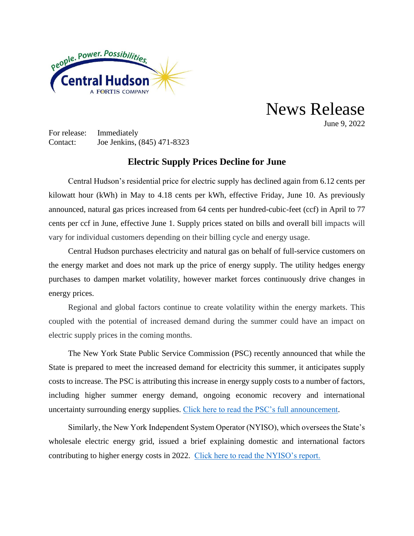

News Release

June 9, 2022

For release: Immediately Contact: Joe Jenkins, (845) 471-8323

## **Electric Supply Prices Decline for June**

Central Hudson's residential price for electric supply has declined again from 6.12 cents per kilowatt hour (kWh) in May to 4.18 cents per kWh, effective Friday, June 10. As previously announced, natural gas prices increased from 64 cents per hundred-cubic-feet (ccf) in April to 77 cents per ccf in June, effective June 1. Supply prices stated on bills and overall bill impacts will vary for individual customers depending on their billing cycle and energy usage.

Central Hudson purchases electricity and natural gas on behalf of full-service customers on the energy market and does not mark up the price of energy supply. The utility hedges energy purchases to dampen market volatility, however market forces continuously drive changes in energy prices.

Regional and global factors continue to create volatility within the energy markets. This coupled with the potential of increased demand during the summer could have an impact on electric supply prices in the coming months.

The New York State Public Service Commission (PSC) recently announced that while the State is prepared to meet the increased demand for electricity this summer, it anticipates supply costs to increase. The PSC is attributing this increase in energy supply costs to a number of factors, including higher summer energy demand, ongoing economic recovery and international uncertainty surrounding energy supplies. [Click here to read the PSC's](https://www3.dps.ny.gov/pscweb/WebFileRoom.nsf/ArticlesByCategory/C0C7F689942F27508525884000647B47/$File/pr22044.pdf?OpenElement) full announcement.

Similarly, the New York Independent System Operator (NYISO), which oversees the State's wholesale electric energy grid, issued a brief explaining domestic and international factors contributing to higher energy costs in 2022. [Click here to read the NYISO's report.](https://www.nyiso.com/documents/20142/2224547/Electricity-Prices-in-NY.pdf/ea6c1616-02a5-5bdd-9964-bfd6e98a2dc5)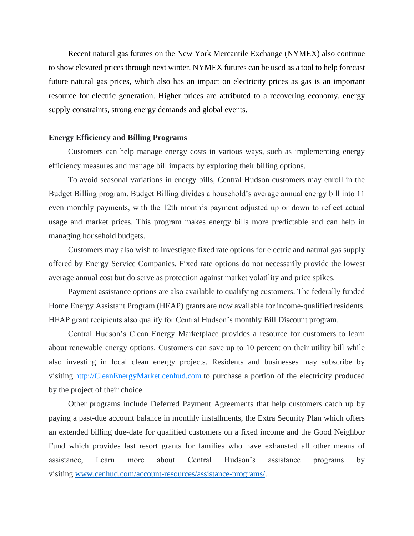Recent natural gas futures on the New York Mercantile Exchange (NYMEX) also continue to show elevated prices through next winter. NYMEX futures can be used as a tool to help forecast future natural gas prices, which also has an impact on electricity prices as gas is an important resource for electric generation. Higher prices are attributed to a recovering economy, energy supply constraints, strong energy demands and global events.

## **Energy Efficiency and Billing Programs**

Customers can help manage energy costs in various ways, such as implementing energy efficiency measures and manage bill impacts by exploring their billing options.

To avoid seasonal variations in energy bills, Central Hudson customers may enroll in the Budget Billing program. Budget Billing divides a household's average annual energy bill into 11 even monthly payments, with the 12th month's payment adjusted up or down to reflect actual usage and market prices. This program makes energy bills more predictable and can help in managing household budgets.

Customers may also wish to investigate fixed rate options for electric and natural gas supply offered by Energy Service Companies. Fixed rate options do not necessarily provide the lowest average annual cost but do serve as protection against market volatility and price spikes.

Payment assistance options are also available to qualifying customers. The federally funded Home Energy Assistant Program (HEAP) grants are now available for income-qualified residents. HEAP grant recipients also qualify for Central Hudson's monthly Bill Discount program.

Central Hudson's Clean Energy Marketplace provides a resource for customers to learn about renewable energy options. Customers can save up to 10 percent on their utility bill while also investing in local clean energy projects. Residents and businesses may subscribe by visiting [http://CleanEnergyMarket.cenhud.com](http://cleanenergymarket.cenhud.com/) to purchase a portion of the electricity produced by the project of their choice.

Other programs include Deferred Payment Agreements that help customers catch up by paying a past-due account balance in monthly installments, the Extra Security Plan which offers an extended billing due-date for qualified customers on a fixed income and the Good Neighbor Fund which provides last resort grants for families who have exhausted all other means of assistance, Learn more about Central Hudson's assistance programs by visiting [www.cenhud.com/account-resources/assistance-programs/.](http://www.cenhud.com/account-resources/assistance-programs/)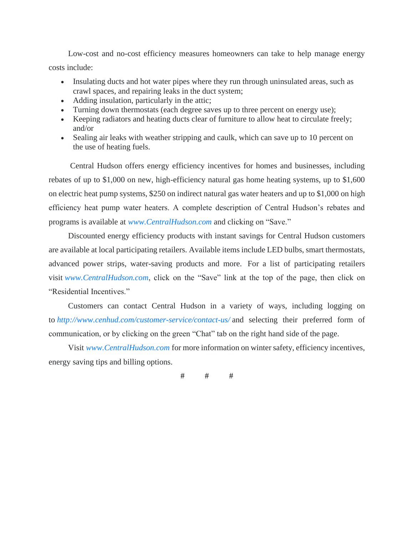Low-cost and no-cost efficiency measures homeowners can take to help manage energy costs include:

- Insulating ducts and hot water pipes where they run through uninsulated areas, such as crawl spaces, and repairing leaks in the duct system;
- Adding insulation, particularly in the attic;
- Turning down thermostats (each degree saves up to three percent on energy use);
- Keeping radiators and heating ducts clear of furniture to allow heat to circulate freely; and/or
- Sealing air leaks with weather stripping and caulk, which can save up to 10 percent on the use of heating fuels.

Central Hudson offers energy efficiency incentives for homes and businesses, including rebates of up to \$1,000 on new, high-efficiency natural gas home heating systems, up to \$1,600 on electric heat pump systems, \$250 on indirect natural gas water heaters and up to \$1,000 on high efficiency heat pump water heaters. A complete description of Central Hudson's rebates and programs is available at *[www.CentralHudson.com](http://www.centralhudson.com/)* and clicking on "Save."

Discounted energy efficiency products with instant savings for Central Hudson customers are available at local participating retailers. Available items include LED bulbs, smart thermostats, advanced power strips, water-saving products and more. For a list of participating retailers visit *[www.CentralHudson.com](http://www.centralhudson.com/)*, click on the "Save" link at the top of the page, then click on "Residential Incentives."

Customers can contact Central Hudson in a variety of ways, including logging on to *[http://www.cenhud.com/customer-service/contact-us/](https://www.cenhud.com/en/customer-service/contact-us/)* and selecting their preferred form of communication, or by clicking on the green "Chat" tab on the right hand side of the page.

Visit *[www.CentralHudson.com](http://www.centralhudson.com/)* for more information on winter safety, efficiency incentives, energy saving tips and billing options.

# # #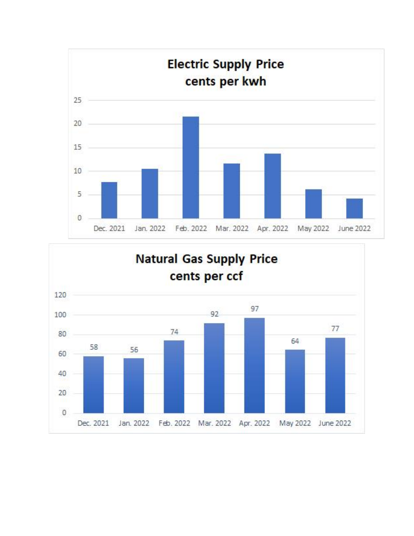

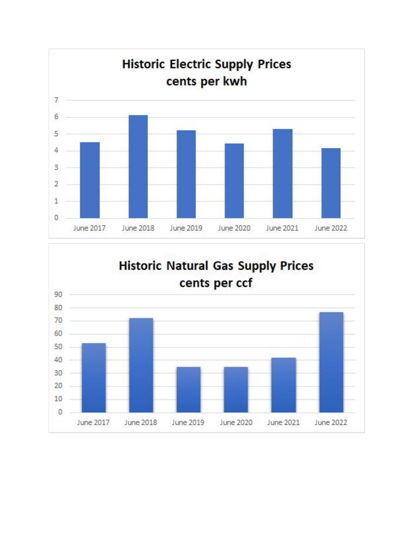